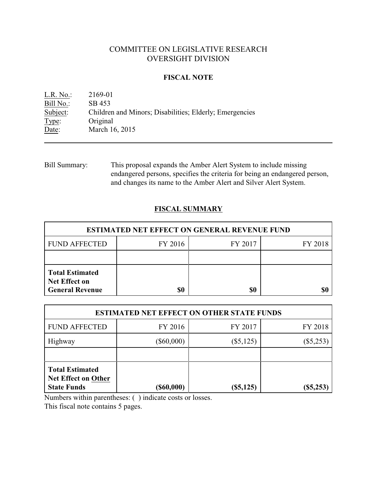# COMMITTEE ON LEGISLATIVE RESEARCH OVERSIGHT DIVISION

### **FISCAL NOTE**

L.R. No.: 2169-01 Bill No.: SB 453<br>Subject: Children Children and Minors; Disabilities; Elderly; Emergencies Type: Original Date: March 16, 2015

Bill Summary: This proposal expands the Amber Alert System to include missing endangered persons, specifies the criteria for being an endangered person, and changes its name to the Amber Alert and Silver Alert System.

## **FISCAL SUMMARY**

| <b>ESTIMATED NET EFFECT ON GENERAL REVENUE FUND</b>                      |           |         |         |  |
|--------------------------------------------------------------------------|-----------|---------|---------|--|
| <b>FUND AFFECTED</b>                                                     | FY 2016   | FY 2017 | FY 2018 |  |
|                                                                          |           |         |         |  |
| <b>Total Estimated</b><br><b>Net Effect on</b><br><b>General Revenue</b> | <b>SO</b> | \$0     |         |  |

| <b>ESTIMATED NET EFFECT ON OTHER STATE FUNDS</b>                           |                  |             |             |
|----------------------------------------------------------------------------|------------------|-------------|-------------|
| <b>FUND AFFECTED</b>                                                       | FY 2016          | FY 2017     | FY 2018     |
| Highway                                                                    | $(\$60,000)$     | $(\$5,125)$ | $(\$5,253)$ |
|                                                                            |                  |             |             |
| <b>Total Estimated</b><br><b>Net Effect on Other</b><br><b>State Funds</b> | $($ \$60,000 $)$ | $(\$5,125)$ | $(\$5,253)$ |

Numbers within parentheses: ( ) indicate costs or losses.

This fiscal note contains 5 pages.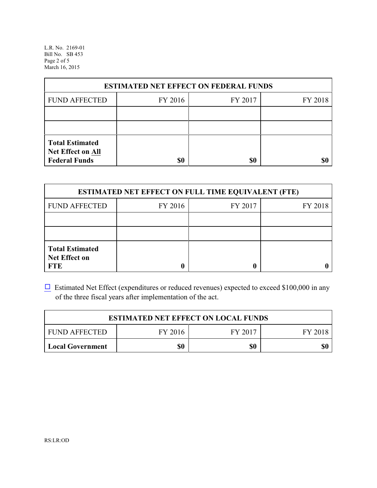L.R. No. 2169-01 Bill No. SB 453 Page 2 of 5 March 16, 2015

| <b>ESTIMATED NET EFFECT ON FEDERAL FUNDS</b> |         |         |         |  |
|----------------------------------------------|---------|---------|---------|--|
| <b>FUND AFFECTED</b>                         | FY 2016 | FY 2017 | FY 2018 |  |
|                                              |         |         |         |  |
|                                              |         |         |         |  |
| <b>Total Estimated</b><br>Net Effect on All  |         |         |         |  |
| <b>Federal Funds</b>                         | \$0     | \$0     |         |  |

| <b>ESTIMATED NET EFFECT ON FULL TIME EQUIVALENT (FTE)</b>    |         |         |         |  |
|--------------------------------------------------------------|---------|---------|---------|--|
| <b>FUND AFFECTED</b>                                         | FY 2016 | FY 2017 | FY 2018 |  |
|                                                              |         |         |         |  |
|                                                              |         |         |         |  |
| <b>Total Estimated</b><br><b>Net Effect on</b><br><b>FTE</b> |         |         |         |  |

 $\Box$  Estimated Net Effect (expenditures or reduced revenues) expected to exceed \$100,000 in any of the three fiscal years after implementation of the act.

| <b>ESTIMATED NET EFFECT ON LOCAL FUNDS</b> |         |         |         |
|--------------------------------------------|---------|---------|---------|
| <b>FUND AFFECTED</b>                       | FY 2016 | FY 2017 | FY 2018 |
| <b>Local Government</b>                    | \$0     | \$0     | \$0     |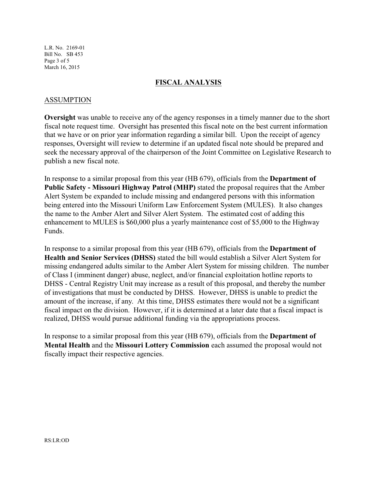L.R. No. 2169-01 Bill No. SB 453 Page 3 of 5 March 16, 2015

#### **FISCAL ANALYSIS**

#### ASSUMPTION

**Oversight** was unable to receive any of the agency responses in a timely manner due to the short fiscal note request time. Oversight has presented this fiscal note on the best current information that we have or on prior year information regarding a similar bill. Upon the receipt of agency responses, Oversight will review to determine if an updated fiscal note should be prepared and seek the necessary approval of the chairperson of the Joint Committee on Legislative Research to publish a new fiscal note.

In response to a similar proposal from this year (HB 679), officials from the **Department of Public Safety - Missouri Highway Patrol (MHP)** stated the proposal requires that the Amber Alert System be expanded to include missing and endangered persons with this information being entered into the Missouri Uniform Law Enforcement System (MULES). It also changes the name to the Amber Alert and Silver Alert System. The estimated cost of adding this enhancement to MULES is \$60,000 plus a yearly maintenance cost of \$5,000 to the Highway Funds.

In response to a similar proposal from this year (HB 679), officials from the **Department of Health and Senior Services (DHSS)** stated the bill would establish a Silver Alert System for missing endangered adults similar to the Amber Alert System for missing children. The number of Class I (imminent danger) abuse, neglect, and/or financial exploitation hotline reports to DHSS - Central Registry Unit may increase as a result of this proposal, and thereby the number of investigations that must be conducted by DHSS. However, DHSS is unable to predict the amount of the increase, if any. At this time, DHSS estimates there would not be a significant fiscal impact on the division. However, if it is determined at a later date that a fiscal impact is realized, DHSS would pursue additional funding via the appropriations process.

In response to a similar proposal from this year (HB 679), officials from the **Department of Mental Health** and the **Missouri Lottery Commission** each assumed the proposal would not fiscally impact their respective agencies.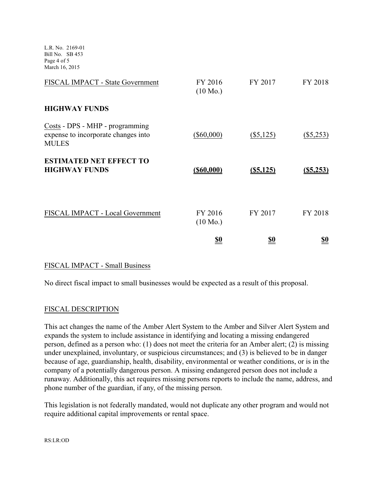L.R. No. 2169-01 Bill No. SB 453 Page 4 of 5 March 16, 2015

|                                                                                        | <u>\$0</u>                    | <u>\$0</u>   | <u>so</u>   |
|----------------------------------------------------------------------------------------|-------------------------------|--------------|-------------|
| FISCAL IMPACT - Local Government                                                       | FY 2016<br>$(10 \text{ Mo.})$ | FY 2017      | FY 2018     |
| <b>ESTIMATED NET EFFECT TO</b><br><b>HIGHWAY FUNDS</b>                                 | $($ \$60,000)                 | $($ \$5,125) | (S5, 253)   |
| Costs - DPS - MHP - programming<br>expense to incorporate changes into<br><b>MULES</b> | $(\$60,000)$                  | $(\$5,125)$  | $(\$5,253)$ |
| <b>HIGHWAY FUNDS</b>                                                                   |                               |              |             |
| FISCAL IMPACT - State Government                                                       | FY 2016<br>$(10 \text{ Mo.})$ | FY 2017      | FY 2018     |

#### FISCAL IMPACT - Small Business

No direct fiscal impact to small businesses would be expected as a result of this proposal.

#### FISCAL DESCRIPTION

This act changes the name of the Amber Alert System to the Amber and Silver Alert System and expands the system to include assistance in identifying and locating a missing endangered person, defined as a person who: (1) does not meet the criteria for an Amber alert; (2) is missing under unexplained, involuntary, or suspicious circumstances; and (3) is believed to be in danger because of age, guardianship, health, disability, environmental or weather conditions, or is in the company of a potentially dangerous person. A missing endangered person does not include a runaway. Additionally, this act requires missing persons reports to include the name, address, and phone number of the guardian, if any, of the missing person.

This legislation is not federally mandated, would not duplicate any other program and would not require additional capital improvements or rental space.